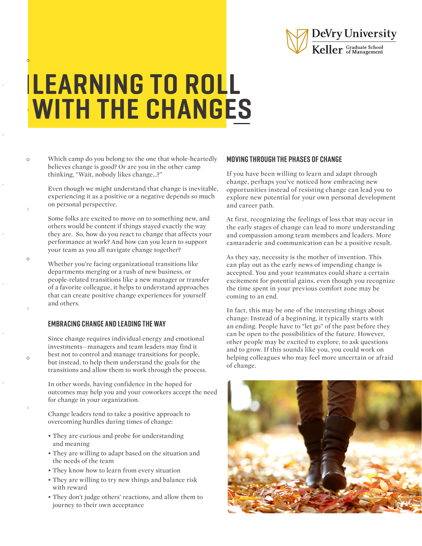

## LEARNING TO ROLL WITH THE CHANGES

Which camp do you belong to: the one that whole-heartedly believes change is good? Or are you in the other camp thinking, "Wait, nobody likes change…?"

 $\circ$ 

 $\circ$ 

 $\circ$ 

Even though we might understand that change is inevitable, experiencing it as a positive or a negative depends so much on personal perspective.

Some folks are excited to move on to something new, and others would be content if things stayed exactly the way they are. So, how do you react to change that affects your performance at work? And how can you learn to support your team as you all navigate change together?

Whether you're facing organizational transitions like departments merging or a rush of new business, or people-related transitions like a new manager or transfer of a favorite colleague, it helps to understand approaches that can create positive change experiences for yourself and others.

## EMBRACING CHANGE AND LEADING THE WAY

Since change requires individual energy and emotional investments—managers and team leaders may find it best not to control and manage transitions for people, but instead, to help them understand the goals for the transitions and allow them to work through the process.

In other words, having confidence in the hoped for outcomes may help you and your coworkers accept the need for change in your organization.

Change leaders tend to take a positive approach to overcoming hurdles during times of change:

- They are curious and probe for understanding and meaning
- They are willing to adapt based on the situation and the needs of the team
- They know how to learn from every situation
- They are willing to try new things and balance risk with reward
- They don't judge others' reactions, and allow them to journey to their own acceptance

## MOVING THROUGH THE PHASES OF CHANGE

If you have been willing to learn and adapt through change, perhaps you've noticed how embracing new opportunities instead of resisting change can lead you to explore new potential for your own personal development and career path.

At first, recognizing the feelings of loss that may occur in the early stages of change can lead to more understanding and compassion among team members and leaders. More camaraderie and communication can be a positive result.

As they say, necessity is the mother of invention. This can play out as the early news of impending change is accepted. You and your teammates could share a certain excitement for potential gains, even though you recognize the time spent in your previous comfort zone may be coming to an end.

In fact, this may be one of the interesting things about change: Instead of a beginning, it typically starts with an ending. People have to "let go" of the past before they can be open to the possibilities of the future. However, other people may be excited to explore, to ask questions and to grow. If this sounds like you, you could work on helping colleagues who may feel more uncertain or afraid of change.